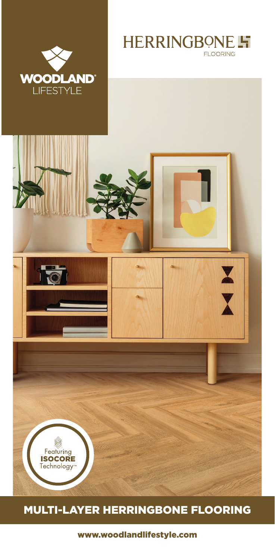





## MULTI-LAYER HERRINGBONE FLOORING

www.woodlandlifestyle.com